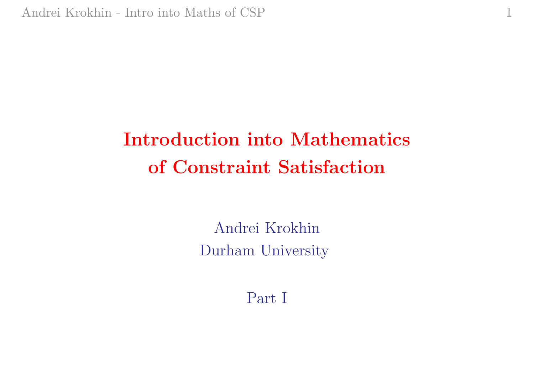# Introduction into Mathematics of Constraint Satisfaction

1

Andrei Krokhin Durham University

Part I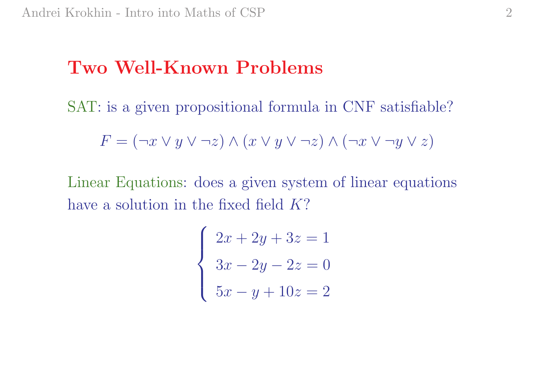### Two Well-Known Problems

SAT: is a given propositional formula in CNF satisfiable?

$$
F = (\neg x \lor y \lor \neg z) \land (x \lor y \lor \neg z) \land (\neg x \lor \neg y \lor z)
$$

Linear Equations: does <sup>a</sup> given system of linear equations have a solution in the fixed field K?

$$
\begin{cases} 2x + 2y + 3z = 1 \\ 3x - 2y - 2z = 0 \\ 5x - y + 10z = 2 \end{cases}
$$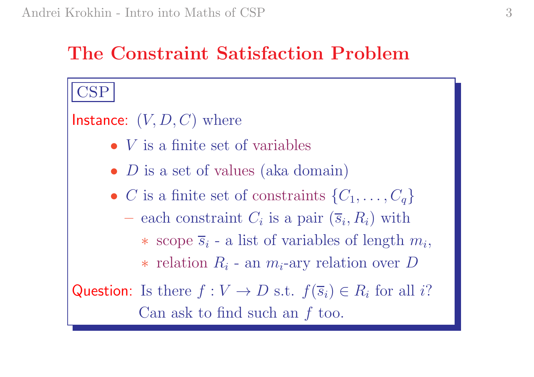## The Constraint Satisfaction Problem

# CSP  $\mathsf{Instance}\colon\left(V,D,C\right) \text{ where }$ • *V* is a finite set of variables • *D* is a set of values (aka domain) • C is a finite set of constraints  $\{C_1,\ldots,C_q\}$ – each constraint  $C_i$  is a pair  $(\overline{s}_i, R_i)$  with  $\ast$  scope  $\overline{s}_i$  - a list of variables of length  $m_i$ , ∗ relation  $R_i$  - an  $m_i$ -ary relation over D Question: Is there  $f: V \to D$  s.t.  $f(\overline{s}_i) \in R_i$  for all i? Can ask to find such an  $f$  too.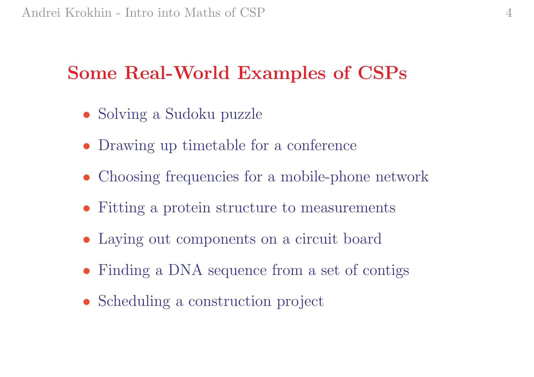## Some Real-World Examples of CSPs

- Solving a Sudoku puzzle
- Drawing up timetable for a conference
- Choosing frequencies for a mobile-phone network
- Fitting a protein structure to measurements
- Laying out components on a circuit board
- Finding a DNA sequence from a set of contigs
- Scheduling a construction project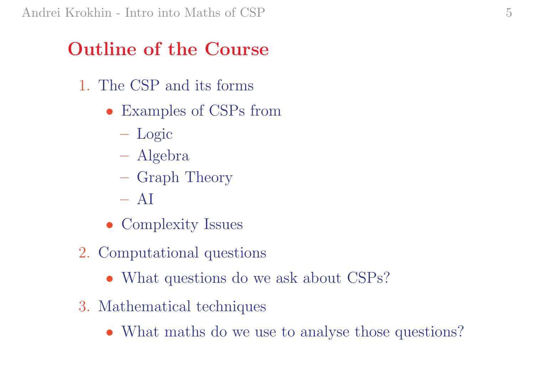## Outline of the Course

- 1. The CSP and its forms
	- Examples of CSPs from
		- Logic
		- Algebra
		- Graph Theory
		- $AI$
	- Complexity Issues
- 2. Computational questions
	- What questions do we ask about CSPs?
- 3. Mathematical techniques
	- What maths do we use to analyse those questions?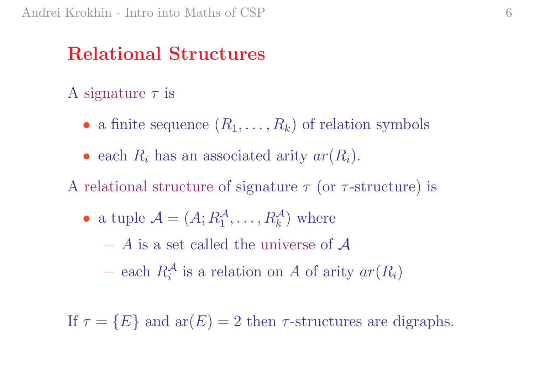## Relational Structures

#### A signature  $\tau$  is

- a finite sequence  $(R_1, \ldots, R_k)$  of relation symbols
- each  $R_i$  has an associated arity  $ar(R_i)$ .
- A relational structure of signature  $\tau$  (or  $\tau$ -structure) is
	- a tuple  $\mathcal{A} = (A; R_1^{\mathcal{A}}, \dots, R_k^{\mathcal{A}})$  where
		- A is <sup>a</sup> set called the universe of A
		- each  $R_i^{\mathcal{A}}$  is a relation on A of arity  $ar(R_i)$

If  $\tau = \{E\}$  and  $ar(E) = 2$  then  $\tau$ -structures are digraphs.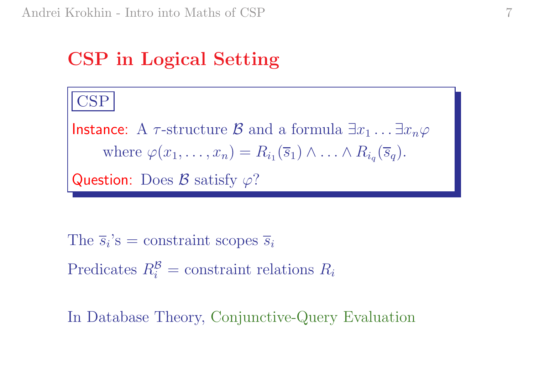## CSP in Logical Setting

#### CSP

Instance: A  $\tau$ -structure  ${\mathcal{B}}$  and a formula  $\exists x_1 \ldots \exists x_n \varphi$ where  $\varphi(x_1,\ldots,x_n) = R_{i_1}(\overline{s}_1) \wedge \ldots \wedge R_{i_q}(\overline{s}_q).$ **Question**: Does  $\mathcal B$  satisfy  $\varphi$ ?

The  $\overline{s}_i$ 's = constraint scopes  $\overline{s}_i$ Predicates  $R_i^{\mathcal{B}} = \text{constraint relations } R_i$ 

In Database Theory, Conjunctive-Query Evaluation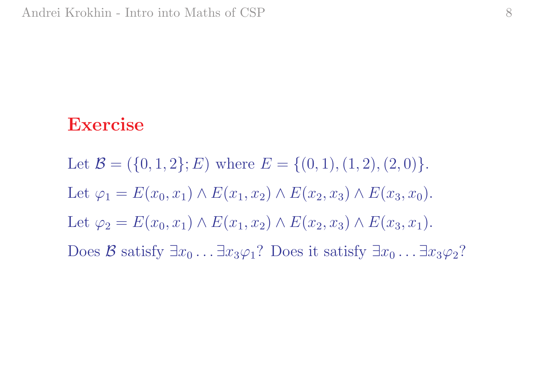#### Exercise

Let  $\mathcal{B} = (\{0, 1, 2\}; E)$  where  $E = \{(0, 1), (1, 2), (2, 0)\}.$ Let  $\varphi_1 = E(x_0, x_1) \wedge E(x_1, x_2) \wedge E(x_2, x_3) \wedge E(x_3, x_0)$ . Let  $\varphi_2 = E(x_0, x_1) \wedge E(x_1, x_2) \wedge E(x_2, x_3) \wedge E(x_3, x_1)$ . Does  $\mathcal{B}$  satisfy  $\exists x_0 \ldots \exists x_3 \varphi_1$ ? Does it satisfy  $\exists x_0 \ldots \exists x_3 \varphi_2$ ?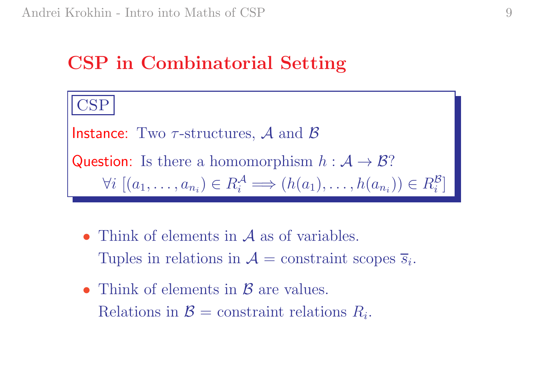### CSP in Combinatorial Setting

CSP Instance: Two  $\tau$ -structures,  ${\cal A}$  and  ${\cal B}$ Question: Is there a homomorphism  $h : \mathcal{A} \to \mathcal{B}$ ?  $\forall i \ [(a_1, \ldots, a_{n_i}) \in R_i^{\mathcal{A}}]$  $a_i^{\mathcal{A}} \Longrightarrow (h(a_1), \ldots, h(a_{n_i})) \in R_i^{\mathcal{B}}$  $\it i$ ]

- Think of elements in A as of variables. Tuples in relations in  $A = constant$  scopes  $\overline{s}_i$ .
- Think of elements in  $\beta$  are values. Relations in  $\mathcal{B} =$  constraint relations  $R_i$ .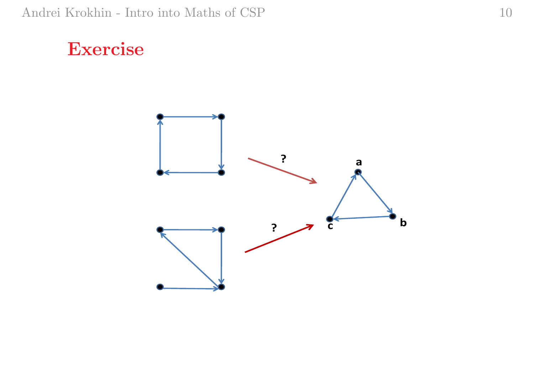#### Exercise

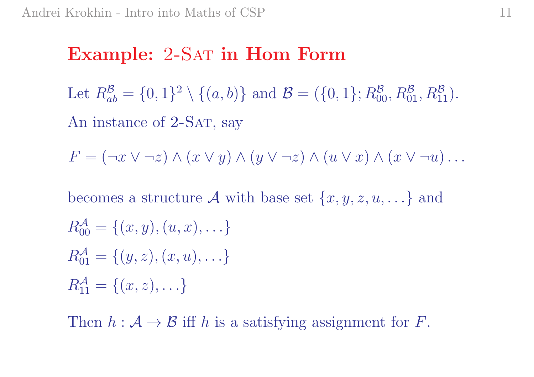### Example: 2-SAT in Hom Form

Let  $R^{\mathcal{B}}$  $ab\,$  $=\{0,1\}^2 \setminus \{(a,b)\}\$ and  $\mathcal{B} = (\{0,1\}; R_{00}^{\mathcal{B}}, R_{01}^{\mathcal{B}}, R_{11}^{\mathcal{B}}).$ An instance of 2-SAT, say

$$
F = (\neg x \lor \neg z) \land (x \lor y) \land (y \lor \neg z) \land (u \lor x) \land (x \lor \neg u) \dots
$$

becomes a structure  $\mathcal A$  with base set  $\{x, y, z, u, \ldots\}$  and  $R_{00}^{\mathcal{A}}$ 00  $=\{(x,y), (u, x), \ldots\}$  $R^{\mathcal{A}}_{01}$ 01  $=\{(y,z), (x,u), \ldots \}$  $R_{11}^{\mathcal{A}}$ 11  $=\{(x,z),...\}$ 

Then  $h: \mathcal{A} \to \mathcal{B}$  iff h is a satisfying assignment for F.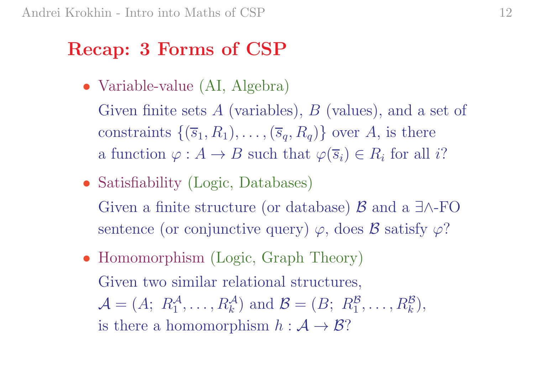### Recap: <sup>3</sup> Forms of CSP

• Variable-value (AI, Algebra)

Given finite sets A (variables), B (values), and a set of constraints  $\{(\overline{s}_1, R_1), \ldots, (\overline{s}_q, R_q)\}$  over A, is there a function  $\varphi: A \to B$  such that  $\varphi(\overline{s}_i) \in R_i$  for all i?

- Satisfiability (Logic, Databases) Given a finite structure (or database)  $\mathcal{B}$  and a ∃∧-FO sentence (or conjunctive query)  $\varphi$ , does  $\mathcal B$  satisfy  $\varphi$ ?
- Homomorphism (Logic, Graph Theory) Given two similar relational structures,  $\mathcal{A} = (A; R_1^{\mathcal{A}}, \dots, R_k^{\mathcal{A}})$  and  $\mathcal{B} = (B; R_1^{\mathcal{B}}, \dots, R_k^{\mathcal{B}}),$ is there a homomorphism  $h : \mathcal{A} \to \mathcal{B}$ ?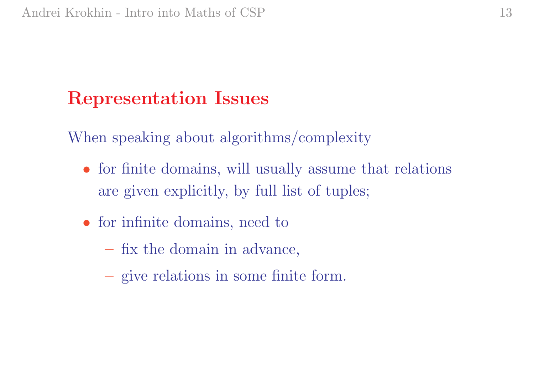## Representation Issues

When speaking about algorithms/complexity

- for finite domains, will usually assume that relations are given explicitly, by full list of tuples;
- for infinite domains, need to
	- fix the domain in advance,
	- give relations in some finite form.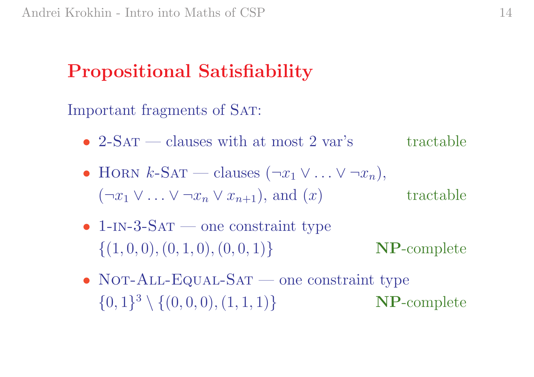## Propositional Satisfiability

Important fragments of SAT:

- 2-SAT clauses with at most 2 var's tractable
- HORN  $k$ -SAT clauses  $(\neg x_1 \lor ... \lor \neg x_n),$  $(\neg x_1 \lor \ldots \lor \neg x_n \lor x_{n+1}),$  and  $(x)$ ) tractable
- $1$ -IN-3-SAT one constraint type  $\{(1, 0, 0), (0, 1, 0), (0, 0, 1)\}\$ } NP-complete
- NOT-ALL-EQUAL-SAT one constraint type  $\{0,1\}^3 \setminus \{(0,0,0), (1,1,1)\}$ } NP-complete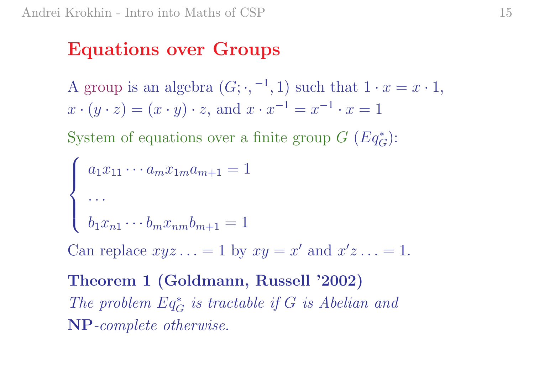### Equations over Groups

A group is an algebra  $(G; \cdot, -1, 1)$  such that  $1 \cdot x = x \cdot 1$ ,  $x \cdot (y \cdot z) = (x \cdot y) \cdot z$ , and  $x \cdot x$  $x^{-1} = x$  $^{-1} \cdot x = 1$ 

System of equations over a finite group  $G$   $(Eq_G^*)$ :

$$
\begin{cases}\na_1 x_{11} \cdots a_m x_{1m} a_{m+1} = 1 \\
\vdots \\
b_1 x_{n1} \cdots b_m x_{nm} b_{m+1} = 1\n\end{cases}
$$

Can replace  $xyz \ldots = 1$  by  $xy = x'$  and  $x'z \ldots = 1$ .

Theorem <sup>1</sup> (Goldmann, Russell '2002) The problem  $Eq^*_{G}$  is tractable if  $G$  is Abelian and NP-complete otherwise.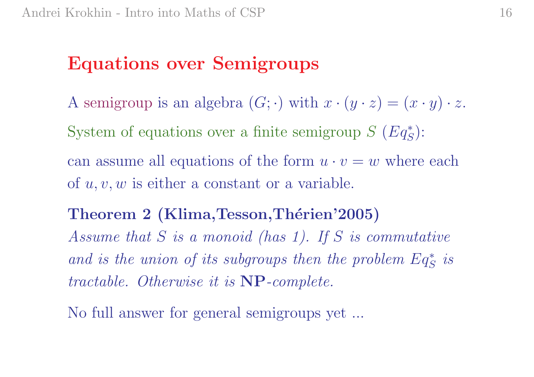### Equations over Semigroups

A semigroup is an algebra  $(G; \cdot)$  with  $x \cdot (y \cdot z) = (x \cdot y) \cdot z$ . System of equations over a finite semigroup  $S$   $(Eq_S^*)$ : can assume all equations of the form  $u \cdot v = w$  where each of  $u, v, w$  is either a constant or a variable.

#### Theorem 2 (Klima, Tesson, Thérien'2005)

Assume that S is <sup>a</sup> monoid (has 1). If S is commutative and is the union of its subgroups then the problem  $Eq^*_{S}$  is tractable. Otherwise it is NP-complete.

No full answer for general semigroups yet ...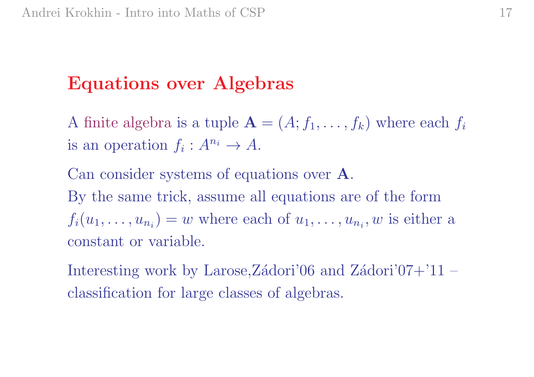## Equations over Algebras

A finite algebra is a tuple  $\mathbf{A} = (A; f_1, \dots, f_k)$  where each  $f_i$ is an operation  $f_i: A^{n_i} \to A$ .

Can consider systems of equations over A. By the same trick, assume all equations are of the form  $f_i(u_1,\ldots,u_{n_i})=w$  where each of  $u_1,\ldots,u_{n_i},w$  is either a constant or variable.

Interesting work by Larose,Zádori'06 and Zádori'07+'11 – classification for large classes of algebras.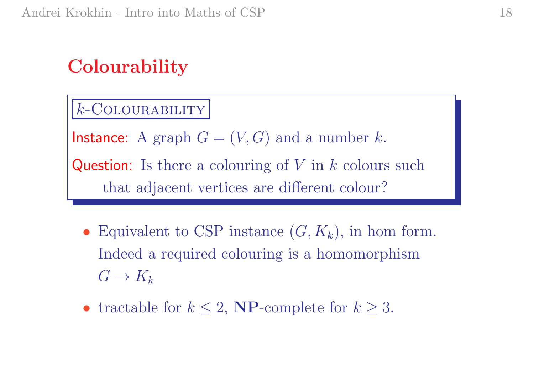## **Colourability**

 $k$ -COLOURABILITY

Instance: A graph  $G=(V,G)$  and a number  $k.$ 

Question: Is there a colouring of  $V$  in  $k$  colours such that adjacent vertices are different colour?

- Equivalent to CSP instance  $(G, K_k)$ , in hom form. Indeed a required colouring is a homomorphism  $G \to K_k$
- tractable for  $k \leq 2$ , **NP**-complete for  $k \geq 3$ .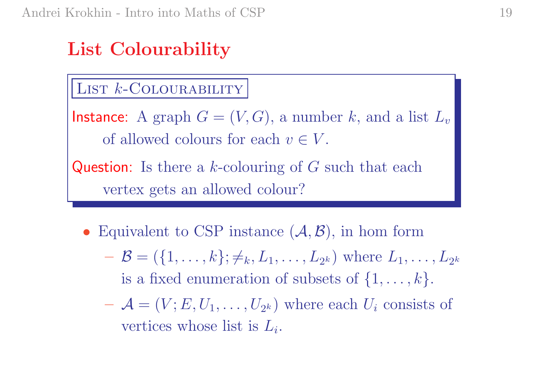## List Colourability

#### LIST *k*-Colourability

 $\mathsf{Instance}\colon \ A\ \mathrm{graph}\ G=(V,G),\ \mathrm{a\ number}\ k,\ \mathrm{and\ a\ list}\ L_v$ of allowed colours for each  $v \in V$ .

Question: Is there a  $k$ -colouring of  $G$  such that each vertex gets an allowed colour?

- Equivalent to CSP instance  $(A, \mathcal{B})$ , in hom form
	- $\mathcal{B} = (\{1, \ldots, k\}; \neq_k, L_1, \ldots, L_{2^k}) \text{ where } L_1, \ldots, L_{2^k}$ is a fixed enumeration of subsets of  $\{1, \ldots, k\}.$
	- $\mathcal{A} = (V; E, U_1, \ldots, U_{2^k})$  where each  $U_i$  consists of vertices whose list is  $L_i$ .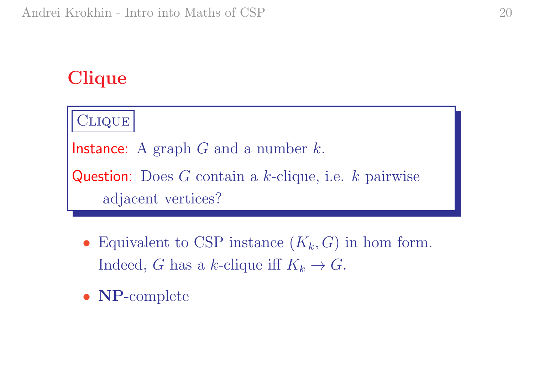## **Clique**



- Equivalent to CSP instance  $(K_k, G)$  in hom form. Indeed, G has a k-clique iff  $K_k \to G$ .
- NP-complete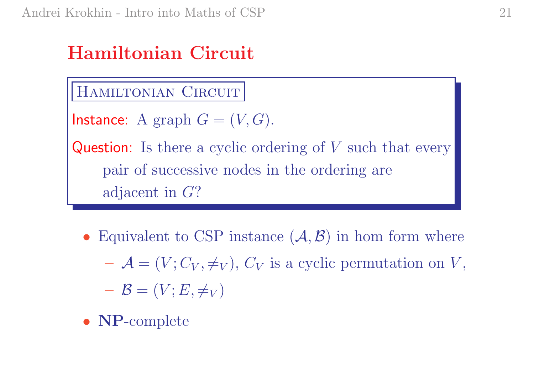## Hamiltonian Circuit

#### HAMILTONIAN CIRCUIT

```
Instance: A graph G=(V,G).
```
**Question**: Is there a cyclic ordering of  $V$  such that every pair of successive nodes in the ordering are adjacent in G?

- Equivalent to CSP instance  $(A, \mathcal{B})$  in hom form where  $\mathcal{A} = (V; C_V, \neq_V), C_V$  is a cyclic permutation on V,  $\boldsymbol{\beta} = (V;E,\neq_V)$
- NP-complete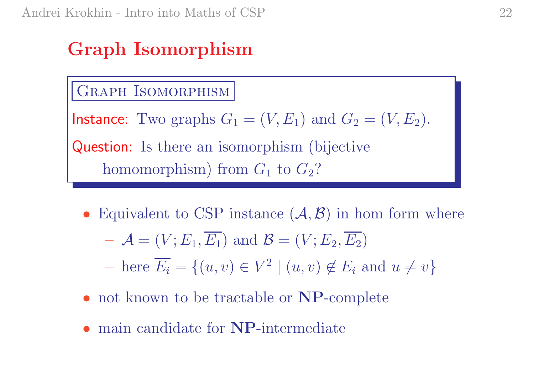## Graph Isomorphism

#### GRAPH ISOMORPHISM

Instance: Two graphs  $G_1=(V,E_1)$  and  $G_2=(V,E_2).$ 

Question: Is there an isomorphism (bijective homomorphism) from  $G_1$  to  $G_2$ ?

• Equivalent to CSP instance  $(A, \mathcal{B})$  in hom form where

$$
- \mathcal{A} = (V; E_1, \overline{E_1}) \text{ and } \mathcal{B} = (V; E_2, \overline{E_2})
$$

- $\overline{E_i} = \{(u, v) \in V^2 \mid (u, v) \notin E_i \text{ and } u \neq v\}$
- not known to be tractable or **NP**-complete
- main candidate for **NP**-intermediate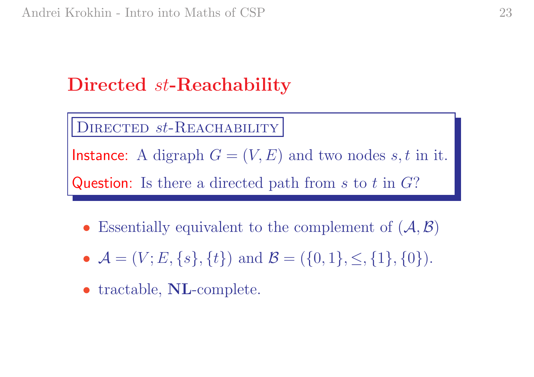## Directed st-Reachability

#### DIRECTED  $st$ -REACHABILITY

Instance: A digraph  $G=(V,E)$  and two nodes  $s,t$  in it. Question: Is there a directed path from  $s$  to  $t$  in  $G$ ?

- Essentially equivalent to the complement of  $(A, \mathcal{B})$
- $\mathcal{A} = (V; E, \{s\}, \{t\})$  and  $\mathcal{B} = (\{0, 1\}, \leq, \{1\}, \{0\}).$
- tractable, NL-complete.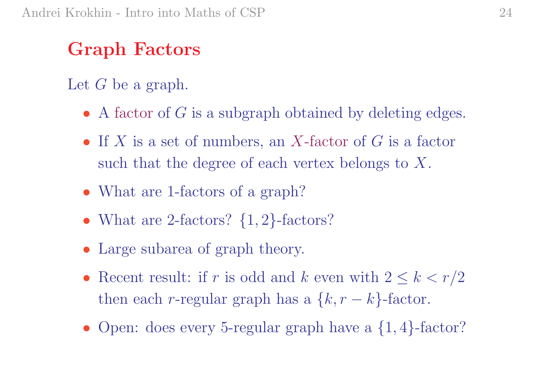## Graph Factors

Let G be a graph.

- $\bullet$  A factor of  $G$  is a subgraph obtained by deleting edges.
- If  $X$  is a set of numbers, an  $X$ -factor of  $G$  is a factor such that the degree of each vertex belongs to  $X$ .
- What are 1-factors of a graph?
- What are 2-factors?  $\{1, 2\}$ -factors?
- Large subarea of graph theory.
- Recent result: if r is odd and k even with  $2 \leq k < r/2$ then each *r*-regular graph has a  $\{k, r - k\}$ -factor.
- Open: does every 5-regular graph have a  $\{1,4\}$ -factor?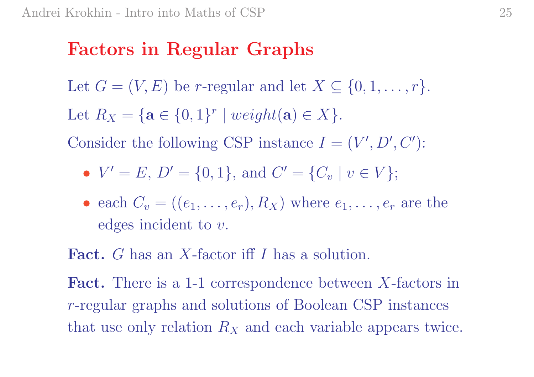### Factors in Regular Graphs

Let  $G = (V, E)$  be r-regular and let  $X \subseteq \{0, 1, \ldots, r\}.$ 

Let  $R_X = \{ \mathbf{a} \in \{0,1\}^r \mid weight(\mathbf{a}) \in X \}.$ 

Consider the following CSP instance  $I = (V', D', C')$ :

• 
$$
V' = E
$$
,  $D' = \{0, 1\}$ , and  $C' = \{C_v | v \in V\}$ ;

• each  $C_v = ((e_1, \ldots, e_r), R_X)$  where  $e_1, \ldots, e_r$  are the  $edges$  incident to  $v$ .

Fact. G has an X-factor iff I has a solution.

Fact. There is a 1-1 correspondence between X-factors in <sup>r</sup>-regular graphs and solutions of Boolean CSP instances that use only relation  $R_X$  and each variable appears twice.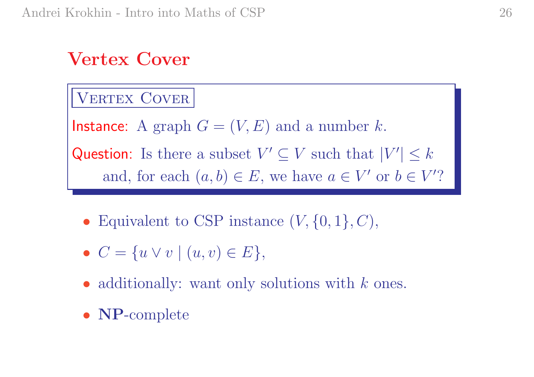## Vertex Cover

#### VERTEX COVER

 $\mathsf{Instance}\colon \ A\ \text{graph}\ G=(V,E)\ \text{and\ a\ number}\ k.$ Question: Is there a subset  $V' \subseteq V$  such that  $|V'| \leq k$ and, for each  $(a, b) \in E$ , we have  $a \in V'$  or  $b \in V'$ ?

- Equivalent to CSP instance  $(V, \{0, 1\}, C)$ ,
- $C = \{u \vee v \mid (u, v) \in E\},\$
- additionally: want only solutions with  $k$  ones.
- NP-complete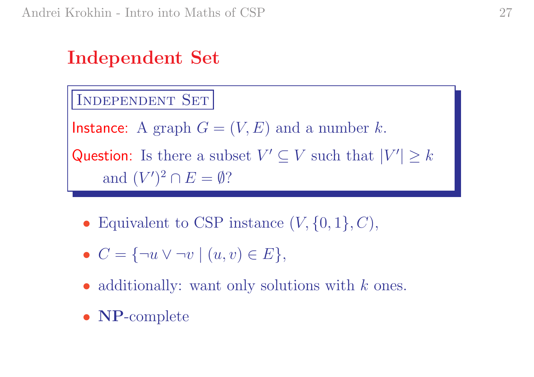## Independent Set

INDEPENDENT SET

 $\mathsf{Instance}\colon \ A\ \text{graph}\ G=(V,E)\ \text{and\ a\ number}\ k.$ 

Question: Is there a subset  $V' \subseteq V$  such that  $|V'| \geq k$ and  $(V')^2 \cap E = \emptyset$ ?

- Equivalent to CSP instance  $(V, \{0, 1\}, C)$ ,
- $C = \{\neg u \vee \neg v \mid (u, v) \in E\},\$
- additionally: want only solutions with  $k$  ones.
- NP-complete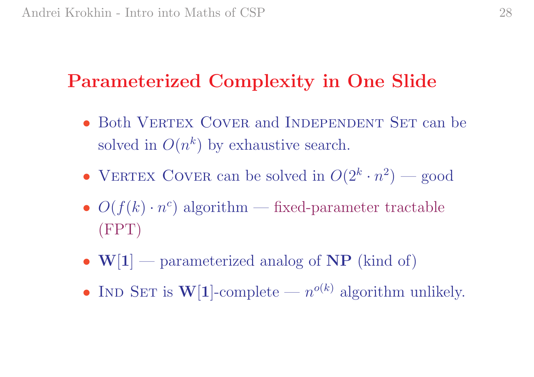## Parameterized Complexity in One Slide

- Both VERTEX COVER and INDEPENDENT SET can be solved in  $O(n^k)$  by exhaustive search.
- VERTEX COVER can be solved in  $O(2^k \cdot n^2)$  good
- $O(f(k) \cdot n^c)$  algorithm fixed-parameter tractable (FPT)
- $W[1]$  parameterized analog of NP (kind of)
- IND SET is  $W[1]$ -complete  $n^{o(k)}$  algorithm unlikely.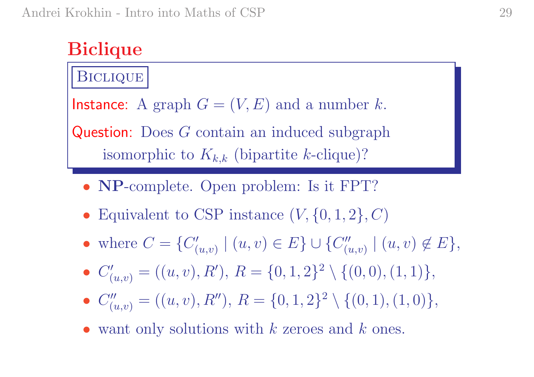## **Biclique**

#### **BICLIQUE**

 $\mathsf{Instance}\colon \ A\ \text{graph}\ G=(V,E)\ \text{and\ a\ number}\ k.$ 

Question: Does G contain an induced subgraph isomorphic to  $K_{k,k}$  (bipartite k-clique)?

- **NP**-complete. Open problem: Is it FPT?
- Equivalent to CSP instance  $(V, \{0, 1, 2\}, C)$
- where  $C = \{C'_i$  $\{ (u,v) \mid (u,v) \in E \} \cup \{ C''_{(v)} \}$  $\binom{n}{(u,v)} \mid (u,v) \not\in E,$
- $C'_{(u,v)} = ((u, v), R'), R = \{0, 1, 2\}^2 \setminus \{(0, 0), (1, 1)\},\$
- $C''_{(u,v)} = ((u, v), R''), R = \{0, 1, 2\}^2 \setminus \{(0, 1), (1, 0)\},\$
- want only solutions with  $k$  zeroes and  $k$  ones.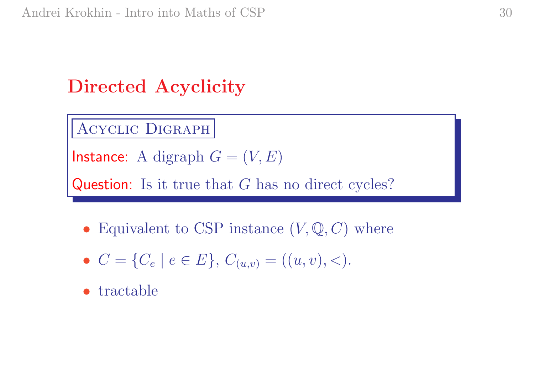## Directed Acyclicity

Acyclic Digraph

 $\mathsf{Instance}\colon \operatorname{A} \text{ digraph } G=(V,E)$ 

Question: Is it true that G has no direct cycles?

- Equivalent to CSP instance  $(V, \mathbb{Q}, C)$  where
- $C = \{C_e \mid e \in E\}, C_{(u,v)} = ((u, v), <).$
- tractable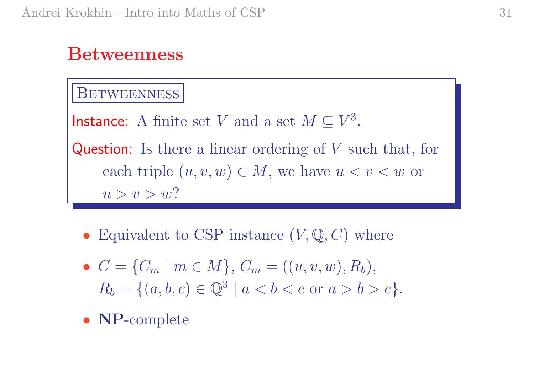#### Betweenness

#### **BETWEENNESS**

Instance: A finite set  $V$  and a set  $M\subseteq V^3$ .

Question: Is there a linear ordering of V such that, for each triple  $(u, v, w) \in M$ , we have  $u < v < w$  or  $u > v > w$ ?

- Equivalent to CSP instance  $(V, \mathbb{Q}, C)$  where
- $C = \{C_m \mid m \in M\}, C_m = ((u, v, w), R_b),$  $R_b = \{(a, b, c) \in \mathbb{Q}^3 \mid a < b < c \text{ or } a > b > c\}.$
- NP-complete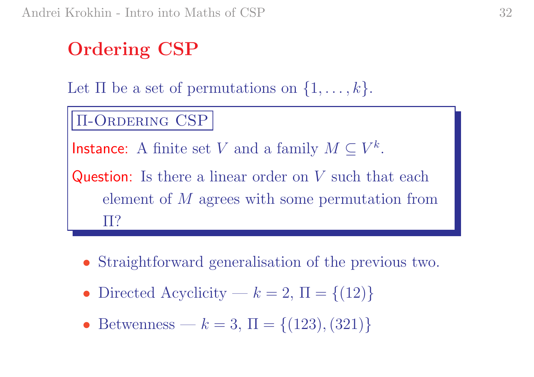## Ordering CSP

Let  $\Pi$  be a set of permutations on  $\{1,\ldots,k\}.$ 

#### Π-Ordering CSP

Instance: A finite set  $V$  and a family  $M\subseteq V^k$ .

Question: Is there a linear order on V such that each element of M agrees with some permutation from Π?

- Straightforward generalisation of the previous two.
- Directed Acyclicity  $k = 2$ ,  $\Pi = \{(12)\}\$
- Betwenness  $k = 3$ ,  $\Pi = \{(123), (321)\}\$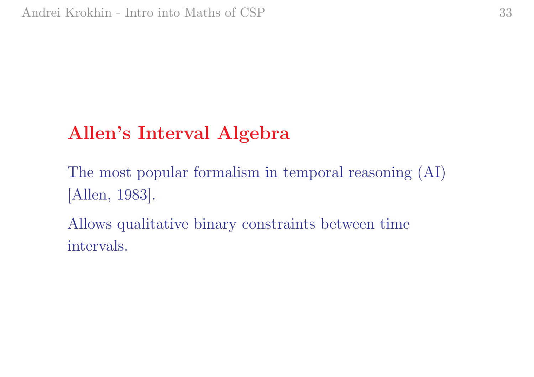## Allen's Interval Algebra

The most popular formalism in temporal reasoning (AI) [Allen, 1983].

Allows qualitative binary constraints between time intervals.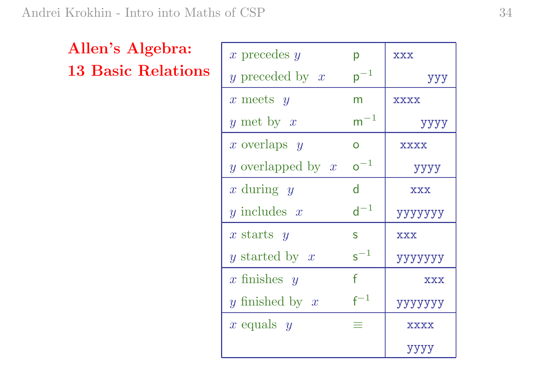### Allen's Algebra: 13 Basic Relations

| x precedes $y$      | D                 | <b>XXX</b>  |
|---------------------|-------------------|-------------|
| y preceded by $x$   | $\mathsf{p}^{-1}$ | ууу         |
| x meets $y$         | m                 | <b>XXXX</b> |
| y met by $x$        | $\mathsf{m}^{-1}$ | уууу        |
| x overlaps $y$      | $\overline{O}$    | <b>XXXX</b> |
| y overlapped by $x$ | $\mathsf{o}^{-1}$ | уууу        |
| x during $y$        | $\mathsf{d}$      | <b>XXX</b>  |
| y includes $x$      | $d^{-1}$          | yyyyyy      |
| x starts $y$        | S                 | <b>XXX</b>  |
| y started by $x$    | $\mathsf{s}^{-1}$ | ууууууу     |
| $x$ finishes $y$    | f                 | <b>XXX</b>  |
| y finished by $x$   | $\mathsf{f}^{-1}$ | ууууууу     |
| x equals $y$        |                   | XXXX        |
|                     |                   | уууу        |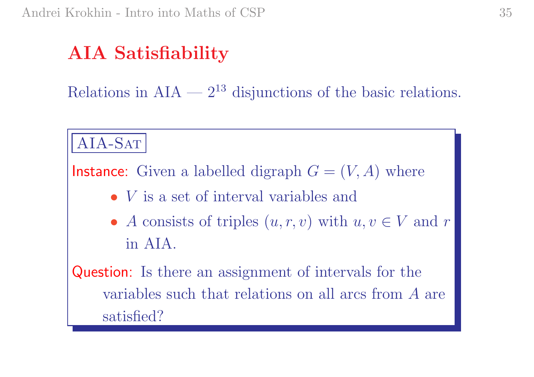## AIA Satisfiability

Relations in  $AIA - 2^{13}$  disjunctions of the basic relations.

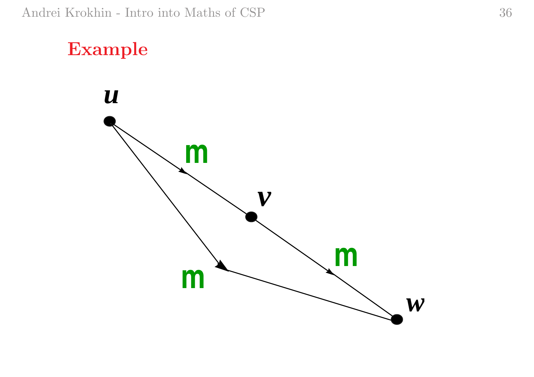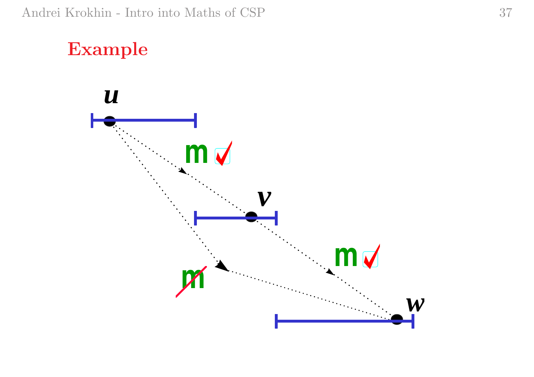## Example

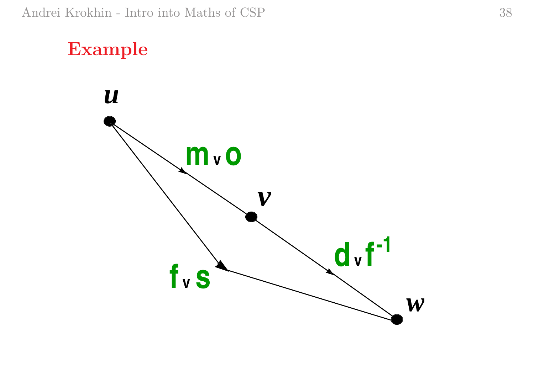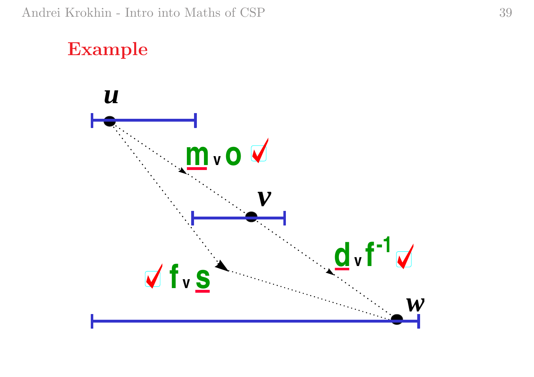#### Example